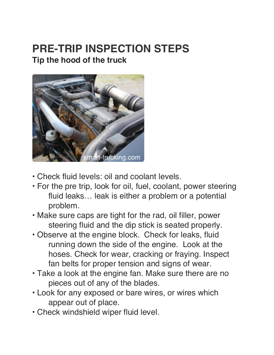# **PRE-TRIP INSPECTION STEPS Tip the hood of the truck**



- Check fluid levels: oil and coolant levels.
- For the pre trip, look for oil, fuel, coolant, power steering fluid leaks… leak is either a problem or a potential problem.
- Make sure caps are tight for the rad, oil filler, power steering fluid and the dip stick is seated properly.
- Observe at the engine block. Check for leaks, fluid running down the side of the engine. Look at the hoses. Check for wear, cracking or fraying. Inspect fan belts for proper tension and signs of wear.
- Take a look at the engine fan. Make sure there are no pieces out of any of the blades.
- Look for any exposed or bare wires, or wires which appear out of place.
- Check windshield wiper fluid level.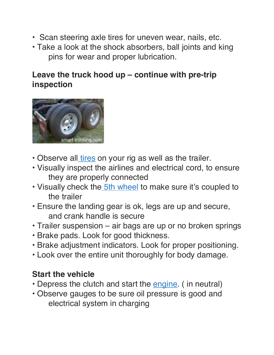- Scan steering axle tires for uneven wear, nails, etc.
- Take a look at the shock absorbers, ball joints and king pins for wear and proper lubrication.

### **Leave the truck hood up – continue with pre-trip inspection**



- Observe all *tires* on your rig as well as the trailer.
- Visually inspect the airlines and electrical cord, to ensure they are properly connected
- Visually check the 5th wheel to make sure it's coupled to the trailer
- Ensure the landing gear is ok, legs are up and secure, and crank handle is secure
- Trailer suspension air bags are up or no broken springs
- Brake pads. Look for good thickness.
- Brake adjustment indicators. Look for proper positioning.
- Look over the entire unit thoroughly for body damage.

#### **Start the vehicle**

- Depress the clutch and start the engine. (in neutral)
- Observe gauges to be sure oil pressure is good and electrical system in charging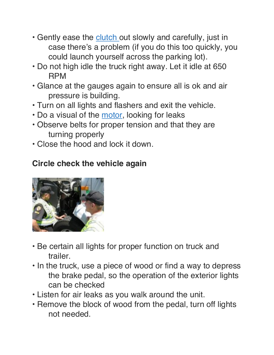- Gently ease the clutch out slowly and carefully, just in case there's a problem (if you do this too quickly, you could launch yourself across the parking lot).
- Do not high idle the truck right away. Let it idle at 650 RPM
- Glance at the gauges again to ensure all is ok and air pressure is building.
- Turn on all lights and flashers and exit the vehicle.
- Do a visual of the motor, looking for leaks
- Observe belts for proper tension and that they are turning properly
- Close the hood and lock it down.

## **Circle check the vehicle again**



- Be certain all lights for proper function on truck and trailer.
- In the truck, use a piece of wood or find a way to depress the brake pedal, so the operation of the exterior lights can be checked
- Listen for air leaks as you walk around the unit.
- Remove the block of wood from the pedal, turn off lights not needed.